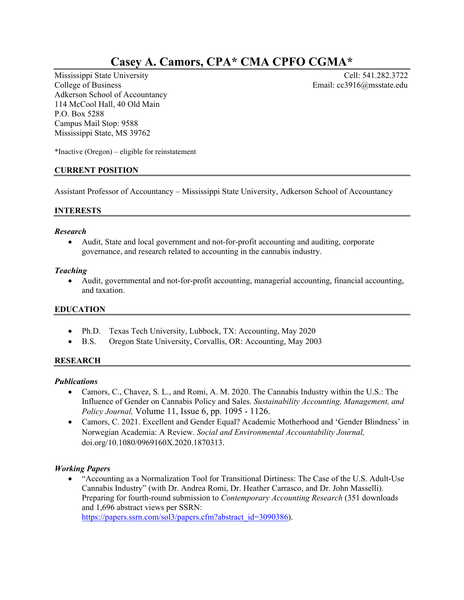# **Casey A. Camors, CPA\* CMA CPFO CGMA\***

Mississippi State University **Cell: 541.282.3722** College of Business Email: cc3916@msstate.edu Adkerson School of Accountancy 114 McCool Hall, 40 Old Main P.O. Box 5288 Campus Mail Stop: 9588 Mississippi State, MS 39762

\*Inactive (Oregon) – eligible for reinstatement

## **CURRENT POSITION**

Assistant Professor of Accountancy – Mississippi State University, Adkerson School of Accountancy

## **INTERESTS**

#### *Research*

 Audit, State and local government and not-for-profit accounting and auditing, corporate governance, and research related to accounting in the cannabis industry.

#### *Teaching*

 Audit, governmental and not-for-profit accounting, managerial accounting, financial accounting, and taxation.

## **EDUCATION**

- Ph.D. Texas Tech University, Lubbock, TX: Accounting, May 2020
- B.S. Oregon State University, Corvallis, OR: Accounting, May 2003

## **RESEARCH**

#### *Publications*

- Camors, C., Chavez, S. L., and Romi, A. M. 2020. The Cannabis Industry within the U.S.: The Influence of Gender on Cannabis Policy and Sales. *Sustainability Accounting, Management, and Policy Journal,* Volume 11, Issue 6, pp. 1095 - 1126.
- Camors, C. 2021. Excellent and Gender Equal? Academic Motherhood and 'Gender Blindness' in Norwegian Academia: A Review. *Social and Environmental Accountability Journal,*  doi.org/10.1080/0969160X.2020.1870313.

## *Working Papers*

 "Accounting as a Normalization Tool for Transitional Dirtiness: The Case of the U.S. Adult-Use Cannabis Industry" (with Dr. Andrea Romi, Dr. Heather Carrasco, and Dr. John Masselli). Preparing for fourth-round submission to *Contemporary Accounting Research* (351 downloads and 1,696 abstract views per SSRN:

https://papers.ssrn.com/sol3/papers.cfm?abstract\_id=3090386).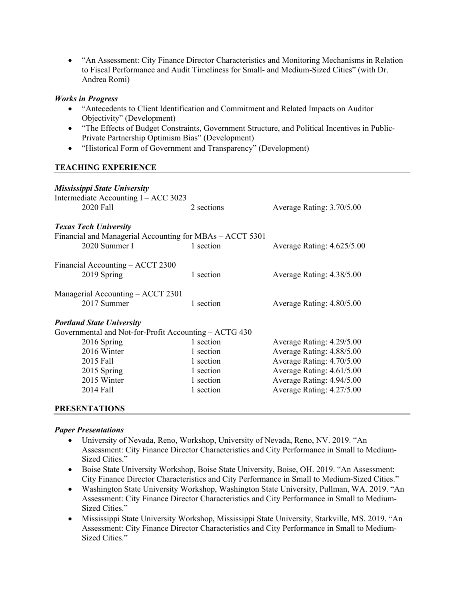"An Assessment: City Finance Director Characteristics and Monitoring Mechanisms in Relation to Fiscal Performance and Audit Timeliness for Small- and Medium-Sized Cities" (with Dr. Andrea Romi)

#### *Works in Progress*

- "Antecedents to Client Identification and Commitment and Related Impacts on Auditor Objectivity" (Development)
- "The Effects of Budget Constraints, Government Structure, and Political Incentives in Public-Private Partnership Optimism Bias" (Development)
- "Historical Form of Government and Transparency" (Development)

## **TEACHING EXPERIENCE**

| <b>Mississippi State University</b><br>Intermediate Accounting I - ACC 3023<br>2020 Fall                                                                                        | 2 sections                                                                 | Average Rating: 3.70/5.00                                                                                                                                                  |
|---------------------------------------------------------------------------------------------------------------------------------------------------------------------------------|----------------------------------------------------------------------------|----------------------------------------------------------------------------------------------------------------------------------------------------------------------------|
| <b>Texas Tech University</b><br>Financial and Managerial Accounting for MBAs – ACCT 5301<br>2020 Summer I                                                                       | 1 section                                                                  | Average Rating: 4.625/5.00                                                                                                                                                 |
| Financial Accounting - ACCT 2300<br>2019 Spring                                                                                                                                 | 1 section                                                                  | Average Rating: 4.38/5.00                                                                                                                                                  |
| Managerial Accounting – ACCT 2301<br>2017 Summer                                                                                                                                | 1 section                                                                  | Average Rating: 4.80/5.00                                                                                                                                                  |
| <b>Portland State University</b><br>Governmental and Not-for-Profit Accounting - ACTG 430<br>2016 Spring<br>2016 Winter<br>2015 Fall<br>2015 Spring<br>2015 Winter<br>2014 Fall | 1 section<br>1 section<br>1 section<br>1 section<br>1 section<br>1 section | Average Rating: 4.29/5.00<br>Average Rating: 4.88/5.00<br>Average Rating: 4.70/5.00<br>Average Rating: 4.61/5.00<br>Average Rating: 4.94/5.00<br>Average Rating: 4.27/5.00 |

## **PRESENTATIONS**

#### *Paper Presentations*

- University of Nevada, Reno, Workshop, University of Nevada, Reno, NV. 2019. "An Assessment: City Finance Director Characteristics and City Performance in Small to Medium-Sized Cities."
- Boise State University Workshop, Boise State University, Boise, OH. 2019. "An Assessment: City Finance Director Characteristics and City Performance in Small to Medium-Sized Cities."
- Washington State University Workshop, Washington State University, Pullman, WA. 2019. "An Assessment: City Finance Director Characteristics and City Performance in Small to Medium-Sized Cities."
- Mississippi State University Workshop, Mississippi State University, Starkville, MS. 2019. "An Assessment: City Finance Director Characteristics and City Performance in Small to Medium-Sized Cities."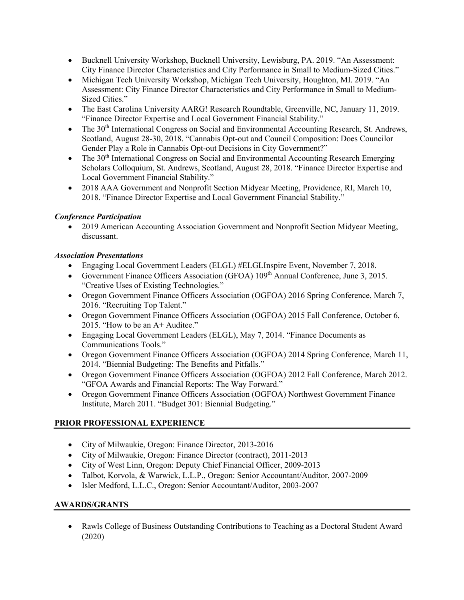- Bucknell University Workshop, Bucknell University, Lewisburg, PA. 2019. "An Assessment: City Finance Director Characteristics and City Performance in Small to Medium-Sized Cities."
- Michigan Tech University Workshop, Michigan Tech University, Houghton, MI. 2019. "An Assessment: City Finance Director Characteristics and City Performance in Small to Medium-Sized Cities."
- The East Carolina University AARG! Research Roundtable, Greenville, NC, January 11, 2019. "Finance Director Expertise and Local Government Financial Stability."
- $\bullet$  The 30<sup>th</sup> International Congress on Social and Environmental Accounting Research, St. Andrews, Scotland, August 28-30, 2018. "Cannabis Opt-out and Council Composition: Does Councilor Gender Play a Role in Cannabis Opt-out Decisions in City Government?"
- $\bullet$  The 30<sup>th</sup> International Congress on Social and Environmental Accounting Research Emerging Scholars Colloquium, St. Andrews, Scotland, August 28, 2018. "Finance Director Expertise and Local Government Financial Stability."
- 2018 AAA Government and Nonprofit Section Midyear Meeting, Providence, RI, March 10, 2018. "Finance Director Expertise and Local Government Financial Stability."

## *Conference Participation*

 2019 American Accounting Association Government and Nonprofit Section Midyear Meeting, discussant.

## *Association Presentations*

- Engaging Local Government Leaders (ELGL) #ELGLInspire Event, November 7, 2018.
- Government Finance Officers Association (GFOA)  $109<sup>th</sup>$  Annual Conference, June 3, 2015. "Creative Uses of Existing Technologies."
- Oregon Government Finance Officers Association (OGFOA) 2016 Spring Conference, March 7, 2016. "Recruiting Top Talent."
- Oregon Government Finance Officers Association (OGFOA) 2015 Fall Conference, October 6, 2015. "How to be an A+ Auditee."
- Engaging Local Government Leaders (ELGL), May 7, 2014. "Finance Documents as Communications Tools."
- Oregon Government Finance Officers Association (OGFOA) 2014 Spring Conference, March 11, 2014. "Biennial Budgeting: The Benefits and Pitfalls."
- Oregon Government Finance Officers Association (OGFOA) 2012 Fall Conference, March 2012. "GFOA Awards and Financial Reports: The Way Forward."
- Oregon Government Finance Officers Association (OGFOA) Northwest Government Finance Institute, March 2011. "Budget 301: Biennial Budgeting."

# **PRIOR PROFESSIONAL EXPERIENCE**

- City of Milwaukie, Oregon: Finance Director, 2013-2016
- City of Milwaukie, Oregon: Finance Director (contract), 2011-2013
- City of West Linn, Oregon: Deputy Chief Financial Officer, 2009-2013
- Talbot, Korvola, & Warwick, L.L.P., Oregon: Senior Accountant/Auditor, 2007-2009
- Isler Medford, L.L.C., Oregon: Senior Accountant/Auditor, 2003-2007

## **AWARDS/GRANTS**

 Rawls College of Business Outstanding Contributions to Teaching as a Doctoral Student Award (2020)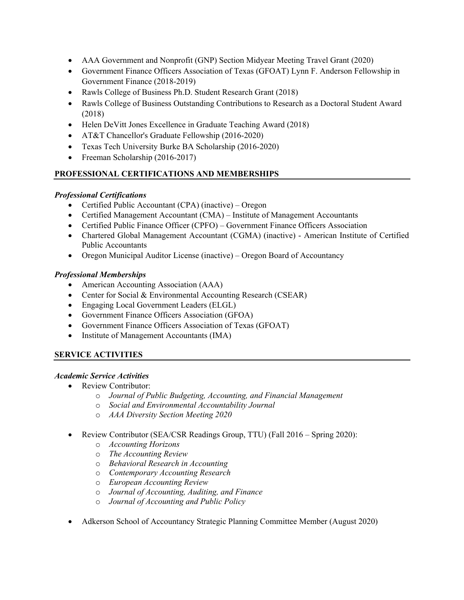- AAA Government and Nonprofit (GNP) Section Midyear Meeting Travel Grant (2020)
- Government Finance Officers Association of Texas (GFOAT) Lynn F. Anderson Fellowship in Government Finance (2018-2019)
- Rawls College of Business Ph.D. Student Research Grant (2018)
- Rawls College of Business Outstanding Contributions to Research as a Doctoral Student Award (2018)
- Helen DeVitt Jones Excellence in Graduate Teaching Award (2018)
- AT&T Chancellor's Graduate Fellowship (2016-2020)
- Texas Tech University Burke BA Scholarship (2016-2020)
- Freeman Scholarship (2016-2017)

## **PROFESSIONAL CERTIFICATIONS AND MEMBERSHIPS**

## *Professional Certifications*

- Certified Public Accountant (CPA) (inactive) Oregon
- Certified Management Accountant (CMA) Institute of Management Accountants
- Certified Public Finance Officer (CPFO) Government Finance Officers Association
- Chartered Global Management Accountant (CGMA) (inactive) American Institute of Certified Public Accountants
- Oregon Municipal Auditor License (inactive) Oregon Board of Accountancy

## *Professional Memberships*

- American Accounting Association (AAA)
- Center for Social & Environmental Accounting Research (CSEAR)
- Engaging Local Government Leaders (ELGL)
- Government Finance Officers Association (GFOA)
- Government Finance Officers Association of Texas (GFOAT)
- Institute of Management Accountants (IMA)

## **SERVICE ACTIVITIES**

# *Academic Service Activities*

- Review Contributor:
	- o *Journal of Public Budgeting, Accounting, and Financial Management*
	- o *Social and Environmental Accountability Journal*
	- o *AAA Diversity Section Meeting 2020*
- Review Contributor (SEA/CSR Readings Group, TTU) (Fall 2016 Spring 2020):
	- o *Accounting Horizons*
	- o *The Accounting Review*
	- o *Behavioral Research in Accounting*
	- o *Contemporary Accounting Research*
	- o *European Accounting Review*
	- o *Journal of Accounting, Auditing, and Finance*
	- o *Journal of Accounting and Public Policy*
- Adkerson School of Accountancy Strategic Planning Committee Member (August 2020)